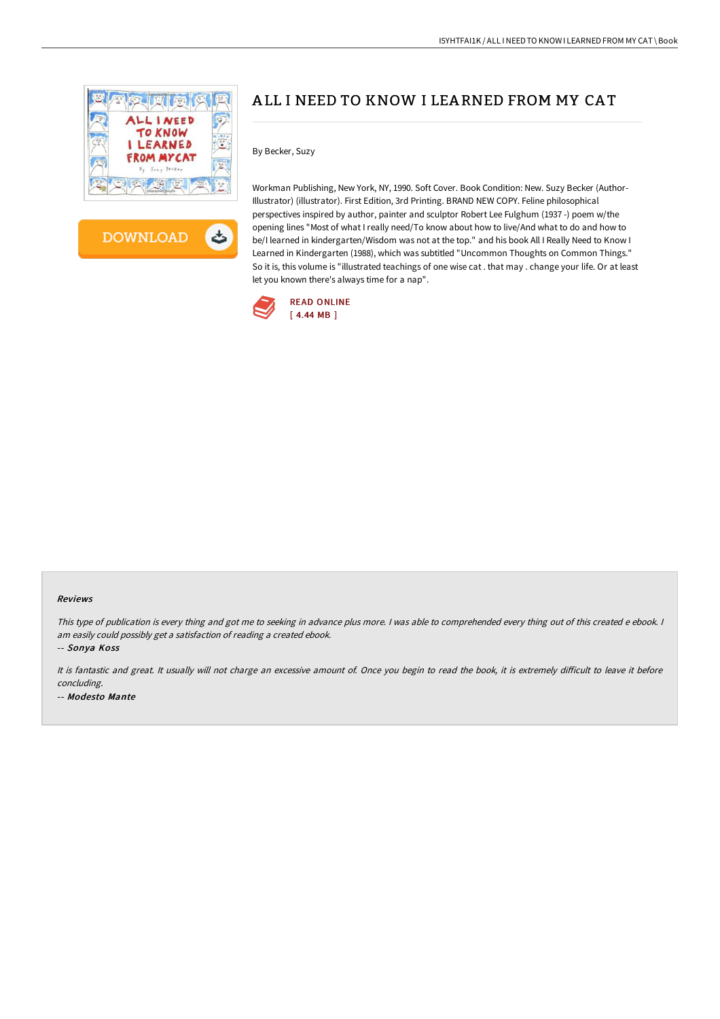



# A LL I NEED TO KNOW I LEA RNED FROM MY CA T

### By Becker, Suzy

Workman Publishing, New York, NY, 1990. Soft Cover. Book Condition: New. Suzy Becker (Author-Illustrator) (illustrator). First Edition, 3rd Printing. BRAND NEW COPY. Feline philosophical perspectives inspired by author, painter and sculptor Robert Lee Fulghum (1937 -) poem w/the opening lines "Most of what I really need/To know about how to live/And what to do and how to be/I learned in kindergarten/Wisdom was not at the top." and his book All I Really Need to Know I Learned in Kindergarten (1988), which was subtitled "Uncommon Thoughts on Common Things." So it is, this volume is "illustrated teachings of one wise cat . that may . change your life. Or at least let you known there's always time for a nap".



#### Reviews

This type of publication is every thing and got me to seeking in advance plus more. I was able to comprehended every thing out of this created e ebook. I am easily could possibly get <sup>a</sup> satisfaction of reading <sup>a</sup> created ebook.

-- Sonya Koss

It is fantastic and great. It usually will not charge an excessive amount of. Once you begin to read the book, it is extremely difficult to leave it before concluding. -- Modesto Mante